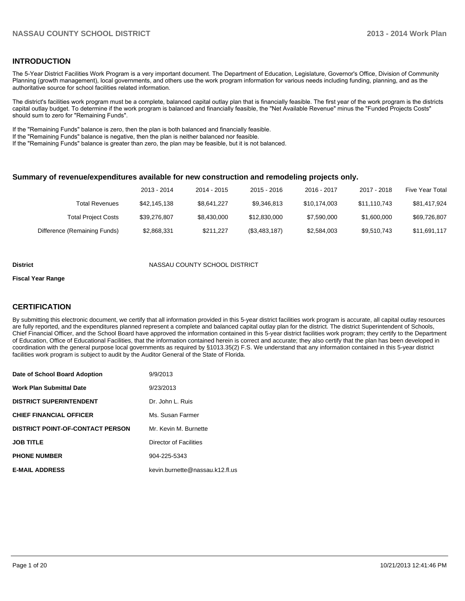### **INTRODUCTION**

The 5-Year District Facilities Work Program is a very important document. The Department of Education, Legislature, Governor's Office, Division of Community Planning (growth management), local governments, and others use the work program information for various needs including funding, planning, and as the authoritative source for school facilities related information.

The district's facilities work program must be a complete, balanced capital outlay plan that is financially feasible. The first year of the work program is the districts capital outlay budget. To determine if the work program is balanced and financially feasible, the "Net Available Revenue" minus the "Funded Projects Costs" should sum to zero for "Remaining Funds".

If the "Remaining Funds" balance is zero, then the plan is both balanced and financially feasible.

If the "Remaining Funds" balance is negative, then the plan is neither balanced nor feasible.

If the "Remaining Funds" balance is greater than zero, the plan may be feasible, but it is not balanced.

### **Summary of revenue/expenditures available for new construction and remodeling projects only.**

|                              | 2013 - 2014  | 2014 - 2015 | $2015 - 2016$ | 2016 - 2017  | 2017 - 2018  | <b>Five Year Total</b> |
|------------------------------|--------------|-------------|---------------|--------------|--------------|------------------------|
| <b>Total Revenues</b>        | \$42.145.138 | \$8.641.227 | \$9.346.813   | \$10.174.003 | \$11.110.743 | \$81,417,924           |
| <b>Total Project Costs</b>   | \$39.276.807 | \$8,430,000 | \$12,830,000  | \$7.590.000  | \$1,600,000  | \$69,726,807           |
| Difference (Remaining Funds) | \$2,868,331  | \$211.227   | (\$3,483,187) | \$2,584,003  | \$9,510,743  | \$11,691,117           |

#### **District COUNTY SCHOOL DISTRICT**

#### **Fiscal Year Range**

## **CERTIFICATION**

By submitting this electronic document, we certify that all information provided in this 5-year district facilities work program is accurate, all capital outlay resources are fully reported, and the expenditures planned represent a complete and balanced capital outlay plan for the district. The district Superintendent of Schools, Chief Financial Officer, and the School Board have approved the information contained in this 5-year district facilities work program; they certify to the Department of Education, Office of Educational Facilities, that the information contained herein is correct and accurate; they also certify that the plan has been developed in coordination with the general purpose local governments as required by §1013.35(2) F.S. We understand that any information contained in this 5-year district facilities work program is subject to audit by the Auditor General of the State of Florida.

| Date of School Board Adoption           | 9/9/2013                        |
|-----------------------------------------|---------------------------------|
| Work Plan Submittal Date                | 9/23/2013                       |
| <b>DISTRICT SUPERINTENDENT</b>          | Dr. John L. Ruis                |
| <b>CHIEF FINANCIAL OFFICER</b>          | Ms. Susan Farmer                |
| <b>DISTRICT POINT-OF-CONTACT PERSON</b> | Mr. Kevin M. Burnette           |
| <b>JOB TITLE</b>                        | Director of Facilities          |
| <b>PHONE NUMBER</b>                     | 904-225-5343                    |
| <b>E-MAIL ADDRESS</b>                   | kevin.burnette@nassau.k12.fl.us |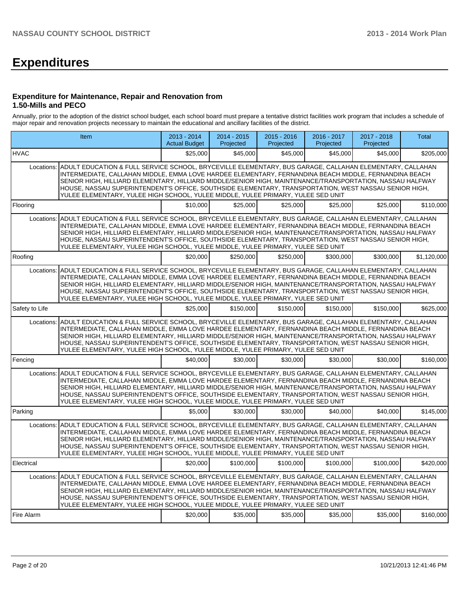# **Expenditures**

### **Expenditure for Maintenance, Repair and Renovation from 1.50-Mills and PECO**

Annually, prior to the adoption of the district school budget, each school board must prepare a tentative district facilities work program that includes a schedule of major repair and renovation projects necessary to maintain the educational and ancillary facilities of the district.

|                | <b>Item</b>                                                                                                                                                                                                                                                                                                                                                                                                                                                                                                                           | 2013 - 2014<br><b>Actual Budget</b> | $2014 - 2015$<br>Projected | $2015 - 2016$<br>Projected | 2016 - 2017<br>Projected | 2017 - 2018<br>Projected | Total       |
|----------------|---------------------------------------------------------------------------------------------------------------------------------------------------------------------------------------------------------------------------------------------------------------------------------------------------------------------------------------------------------------------------------------------------------------------------------------------------------------------------------------------------------------------------------------|-------------------------------------|----------------------------|----------------------------|--------------------------|--------------------------|-------------|
| <b>HVAC</b>    |                                                                                                                                                                                                                                                                                                                                                                                                                                                                                                                                       | \$25,000                            | \$45,000                   | \$45,000                   | \$45,000                 | \$45,000                 | \$205,000   |
| Locations:     | ADULT EDUCATION & FULL SERVICE SCHOOL, BRYCEVILLE ELEMENTARY, BUS GARAGE, CALLAHAN ELEMENTARY, CALLAHAN<br>INTERMEDIATE, CALLAHAN MIDDLE, EMMA LOVE HARDEE ELEMENTARY, FERNANDINA BEACH MIDDLE, FERNANDINA BEACH<br>SENIOR HIGH. HILLIARD ELEMENTARY. HILLIARD MIDDLE/SENIOR HIGH. MAINTENANCE/TRANSPORTATION. NASSAU HALFWAY<br>HOUSE, NASSAU SUPERINTENDENT'S OFFICE, SOUTHSIDE ELEMENTARY, TRANSPORTATION, WEST NASSAU SENIOR HIGH,<br>YULEE ELEMENTARY, YULEE HIGH SCHOOL, YULEE MIDDLE, YULEE PRIMARY, YULEE SED UNIT            |                                     |                            |                            |                          |                          |             |
| Flooring       |                                                                                                                                                                                                                                                                                                                                                                                                                                                                                                                                       | \$10,000                            | \$25,000                   | \$25,000                   | \$25,000                 | \$25,000                 | \$110,000   |
| Locations:     | ADULT EDUCATION & FULL SERVICE SCHOOL, BRYCEVILLE ELEMENTARY, BUS GARAGE, CALLAHAN ELEMENTARY, CALLAHAN<br>INTERMEDIATE, CALLAHAN MIDDLE, EMMA LOVE HARDEE ELEMENTARY, FERNANDINA BEACH MIDDLE, FERNANDINA BEACH<br>SENIOR HIGH, HILLIARD ELEMENTARY, HILLIARD MIDDLE/SENIOR HIGH, MAINTENANCE/TRANSPORTATION, NASSAU HALFWAY<br>HOUSE, NASSAU SUPERINTENDENT'S OFFICE, SOUTHSIDE ELEMENTARY, TRANSPORTATION, WEST NASSAU SENIOR HIGH,<br>YULEE ELEMENTARY, YULEE HIGH SCHOOL, YULEE MIDDLE, YULEE PRIMARY, YULEE SED UNIT            |                                     |                            |                            |                          |                          |             |
| Roofing        |                                                                                                                                                                                                                                                                                                                                                                                                                                                                                                                                       | \$20,000                            | \$250,000                  | \$250,000                  | \$300,000                | \$300,000                | \$1,120,000 |
| Locations:     | ADULT EDUCATION & FULL SERVICE SCHOOL, BRYCEVILLE ELEMENTARY, BUS GARAGE, CALLAHAN ELEMENTARY, CALLAHAN<br>INTERMEDIATE, CALLAHAN MIDDLE, EMMA LOVE HARDEE ELEMENTARY, FERNANDINA BEACH MIDDLE, FERNANDINA BEACH<br>SENIOR HIGH, HILLIARD ELEMENTARY, HILLIARD MIDDLE/SENIOR HIGH, MAINTENANCE/TRANSPORTATION, NASSAU HALFWAY<br>HOUSE, NASSAU SUPERINTENDENT'S OFFICE, SOUTHSIDE ELEMENTARY, TRANSPORTATION, WEST NASSAU SENIOR HIGH,<br>YULEE ELEMENTARY, YULEE HIGH SCHOOL, YULEE MIDDLE, YULEE PRIMARY, YULEE SED UNIT            |                                     |                            |                            |                          |                          |             |
| Safety to Life |                                                                                                                                                                                                                                                                                                                                                                                                                                                                                                                                       | \$25,000                            | \$150,000                  | \$150,000                  | \$150,000                | \$150,000                | \$625.000   |
| Locations:     | ADULT EDUCATION & FULL SERVICE SCHOOL, BRYCEVILLE ELEMENTARY, BUS GARAGE, CALLAHAN ELEMENTARY, CALLAHAN<br>INTERMEDIATE, CALLAHAN MIDDLE, EMMA LOVE HARDEE ELEMENTARY, FERNANDINA BEACH MIDDLE, FERNANDINA BEACH<br>SENIOR HIGH, HILLIARD ELEMENTARY, HILLIARD MIDDLE/SENIOR HIGH, MAINTENANCE/TRANSPORTATION, NASSAU HALFWAY<br>HOUSE, NASSAU SUPERINTENDENT'S OFFICE, SOUTHSIDE ELEMENTARY, TRANSPORTATION, WEST NASSAU SENIOR HIGH,<br>YULEE ELEMENTARY, YULEE HIGH SCHOOL, YULEE MIDDLE, YULEE PRIMARY, YULEE SED UNIT            |                                     |                            |                            |                          |                          |             |
| Fencing        |                                                                                                                                                                                                                                                                                                                                                                                                                                                                                                                                       | \$40,000                            | \$30,000                   | \$30,000                   | \$30,000                 | \$30,000                 | \$160,000   |
| Locations:     | ADULT EDUCATION & FULL SERVICE SCHOOL, BRYCEVILLE ELEMENTARY, BUS GARAGE, CALLAHAN ELEMENTARY, CALLAHAN<br>INTERMEDIATE, CALLAHAN MIDDLE, EMMA LOVE HARDEE ELEMENTARY, FERNANDINA BEACH MIDDLE, FERNANDINA BEACH<br>SENIOR HIGH, HILLIARD ELEMENTARY, HILLIARD MIDDLE/SENIOR HIGH, MAINTENANCE/TRANSPORTATION, NASSAU HALFWAY<br>HOUSE, NASSAU SUPERINTENDENT'S OFFICE, SOUTHSIDE ELEMENTARY, TRANSPORTATION, WEST NASSAU SENIOR HIGH,<br>YULEE ELEMENTARY, YULEE HIGH SCHOOL, YULEE MIDDLE, YULEE PRIMARY, YULEE SED UNIT            |                                     |                            |                            |                          |                          |             |
| Parking        |                                                                                                                                                                                                                                                                                                                                                                                                                                                                                                                                       | \$5,000                             | \$30,000                   | \$30,000                   | \$40,000                 | \$40,000                 | \$145,000   |
| Locations:     | ADULT EDUCATION & FULL SERVICE SCHOOL, BRYCEVILLE ELEMENTARY, BUS GARAGE, CALLAHAN ELEMENTARY, CALLAHAN<br>INTERMEDIATE, CALLAHAN MIDDLE, EMMA LOVE HARDEE ELEMENTARY, FERNANDINA BEACH MIDDLE, FERNANDINA BEACH<br>SENIOR HIGH, HILLIARD ELEMENTARY, HILLIARD MIDDLE/SENIOR HIGH, MAINTENANCE/TRANSPORTATION, NASSAU HALFWAY<br>HOUSE, NASSAU SUPERINTENDENT'S OFFICE, SOUTHSIDE ELEMENTARY, TRANSPORTATION, WEST NASSAU SENIOR HIGH,<br>YULEE ELEMENTARY, YULEE HIGH SCHOOL, YULEE MIDDLE, YULEE PRIMARY, YULEE SED UNIT            |                                     |                            |                            |                          |                          |             |
| Electrical     |                                                                                                                                                                                                                                                                                                                                                                                                                                                                                                                                       | \$20,000                            | \$100,000                  | \$100,000                  | \$100,000                | \$100,000                | \$420,000   |
|                | Locations: ADULT EDUCATION & FULL SERVICE SCHOOL, BRYCEVILLE ELEMENTARY, BUS GARAGE, CALLAHAN ELEMENTARY, CALLAHAN<br>INTERMEDIATE, CALLAHAN MIDDLE, EMMA LOVE HARDEE ELEMENTARY, FERNANDINA BEACH MIDDLE, FERNANDINA BEACH<br>SENIOR HIGH, HILLIARD ELEMENTARY, HILLIARD MIDDLE/SENIOR HIGH, MAINTENANCE/TRANSPORTATION, NASSAU HALFWAY<br>HOUSE, NASSAU SUPERINTENDENT'S OFFICE, SOUTHSIDE ELEMENTARY, TRANSPORTATION, WEST NASSAU SENIOR HIGH,<br>YULEE ELEMENTARY, YULEE HIGH SCHOOL, YULEE MIDDLE, YULEE PRIMARY, YULEE SED UNIT |                                     |                            |                            |                          |                          |             |
| Fire Alarm     |                                                                                                                                                                                                                                                                                                                                                                                                                                                                                                                                       | \$20,000                            | \$35,000                   | \$35,000                   | \$35,000                 | \$35,000                 | \$160,000   |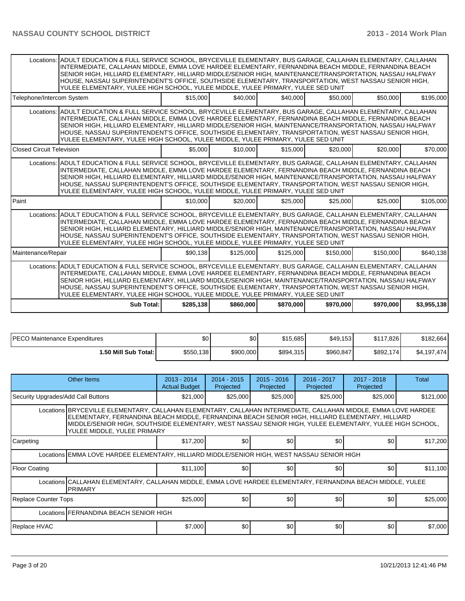|                                  | Locations: ADULT EDUCATION & FULL SERVICE SCHOOL, BRYCEVILLE ELEMENTARY, BUS GARAGE, CALLAHAN ELEMENTARY, CALLAHAN<br>INTERMEDIATE, CALLAHAN MIDDLE, EMMA LOVE HARDEE ELEMENTARY, FERNANDINA BEACH MIDDLE, FERNANDINA BEACH<br>SENIOR HIGH, HILLIARD ELEMENTARY, HILLIARD MIDDLE/SENIOR HIGH, MAINTENANCE/TRANSPORTATION, NASSAU HALFWAY<br>HOUSE, NASSAU SUPERINTENDENT'S OFFICE, SOUTHSIDE ELEMENTARY, TRANSPORTATION, WEST NASSAU SENIOR HIGH,<br>YULEE ELEMENTARY, YULEE HIGH SCHOOL, YULEE MIDDLE, YULEE PRIMARY, YULEE SED UNIT |           |           |           |           |           |             |  |  |  |  |
|----------------------------------|---------------------------------------------------------------------------------------------------------------------------------------------------------------------------------------------------------------------------------------------------------------------------------------------------------------------------------------------------------------------------------------------------------------------------------------------------------------------------------------------------------------------------------------|-----------|-----------|-----------|-----------|-----------|-------------|--|--|--|--|
| Telephone/Intercom System        |                                                                                                                                                                                                                                                                                                                                                                                                                                                                                                                                       | \$15,000  | \$40,000  | \$40,000  | \$50,000  | \$50,000  | \$195,000   |  |  |  |  |
|                                  | Locations: ADULT EDUCATION & FULL SERVICE SCHOOL. BRYCEVILLE ELEMENTARY. BUS GARAGE. CALLAHAN ELEMENTARY. CALLAHAN<br>INTERMEDIATE, CALLAHAN MIDDLE, EMMA LOVE HARDEE ELEMENTARY, FERNANDINA BEACH MIDDLE, FERNANDINA BEACH<br>SENIOR HIGH, HILLIARD ELEMENTARY, HILLIARD MIDDLE/SENIOR HIGH, MAINTENANCE/TRANSPORTATION, NASSAU HALFWAY<br>HOUSE, NASSAU SUPERINTENDENT'S OFFICE, SOUTHSIDE ELEMENTARY, TRANSPORTATION, WEST NASSAU SENIOR HIGH.<br>YULEE ELEMENTARY, YULEE HIGH SCHOOL, YULEE MIDDLE, YULEE PRIMARY, YULEE SED UNIT |           |           |           |           |           |             |  |  |  |  |
| <b>Closed Circuit Television</b> |                                                                                                                                                                                                                                                                                                                                                                                                                                                                                                                                       | \$5,000   | \$10,000  | \$15,000  | \$20,000  | \$20,000  | \$70,000    |  |  |  |  |
|                                  | Locations: ADULT EDUCATION & FULL SERVICE SCHOOL, BRYCEVILLE ELEMENTARY, BUS GARAGE, CALLAHAN ELEMENTARY, CALLAHAN<br>INTERMEDIATE, CALLAHAN MIDDLE, EMMA LOVE HARDEE ELEMENTARY, FERNANDINA BEACH MIDDLE, FERNANDINA BEACH<br>SENIOR HIGH, HILLIARD ELEMENTARY, HILLIARD MIDDLE/SENIOR HIGH, MAINTENANCE/TRANSPORTATION, NASSAU HALFWAY<br>HOUSE, NASSAU SUPERINTENDENT'S OFFICE, SOUTHSIDE ELEMENTARY, TRANSPORTATION, WEST NASSAU SENIOR HIGH,<br>YULEE ELEMENTARY, YULEE HIGH SCHOOL, YULEE MIDDLE, YULEE PRIMARY, YULEE SED UNIT |           |           |           |           |           |             |  |  |  |  |
| Paint                            |                                                                                                                                                                                                                                                                                                                                                                                                                                                                                                                                       | \$10,000  | \$20,000  | \$25,000  | \$25,000  | \$25,000  | \$105,000   |  |  |  |  |
|                                  | Locations: ADULT EDUCATION & FULL SERVICE SCHOOL. BRYCEVILLE ELEMENTARY. BUS GARAGE. CALLAHAN ELEMENTARY. CALLAHAN<br>INTERMEDIATE, CALLAHAN MIDDLE, EMMA LOVE HARDEE ELEMENTARY, FERNANDINA BEACH MIDDLE, FERNANDINA BEACH<br>SENIOR HIGH, HILLIARD ELEMENTARY, HILLIARD MIDDLE/SENIOR HIGH, MAINTENANCE/TRANSPORTATION, NASSAU HALFWAY<br>HOUSE, NASSAU SUPERINTENDENT'S OFFICE, SOUTHSIDE ELEMENTARY, TRANSPORTATION, WEST NASSAU SENIOR HIGH.<br>YULEE ELEMENTARY, YULEE HIGH SCHOOL, YULEE MIDDLE, YULEE PRIMARY, YULEE SED UNIT |           |           |           |           |           |             |  |  |  |  |
| Maintenance/Repair               |                                                                                                                                                                                                                                                                                                                                                                                                                                                                                                                                       | \$90,138  | \$125,000 | \$125,000 | \$150,000 | \$150,000 | \$640,138   |  |  |  |  |
|                                  | Locations: ADULT EDUCATION & FULL SERVICE SCHOOL, BRYCEVILLE ELEMENTARY, BUS GARAGE, CALLAHAN ELEMENTARY, CALLAHAN<br>INTERMEDIATE, CALLAHAN MIDDLE, EMMA LOVE HARDEE ELEMENTARY, FERNANDINA BEACH MIDDLE, FERNANDINA BEACH<br>SENIOR HIGH, HILLIARD ELEMENTARY, HILLIARD MIDDLE/SENIOR HIGH, MAINTENANCE/TRANSPORTATION, NASSAU HALFWAY<br>HOUSE, NASSAU SUPERINTENDENT'S OFFICE, SOUTHSIDE ELEMENTARY, TRANSPORTATION, WEST NASSAU SENIOR HIGH,<br>YULEE ELEMENTARY, YULEE HIGH SCHOOL, YULEE MIDDLE, YULEE PRIMARY, YULEE SED UNIT |           |           |           |           |           |             |  |  |  |  |
|                                  | Sub Total:                                                                                                                                                                                                                                                                                                                                                                                                                                                                                                                            | \$285,138 | \$860,000 | \$870,000 | \$970,000 | \$970,000 | \$3,955,138 |  |  |  |  |

| IPECO Maintenance Expenditures | \$0       | \$0       | \$15,685  | \$49,153  | \$117.826 | \$182,664   |
|--------------------------------|-----------|-----------|-----------|-----------|-----------|-------------|
| 1.50 Mill Sub Total: I         | \$550,138 | \$900,000 | \$894,315 | \$960,847 | \$892,174 | \$4,197,474 |

| Other Items                                                                                 |                                                                                                                                                                                                                                                                                                                                                              | $2013 - 2014$<br><b>Actual Budget</b> | $2014 - 2015$<br>Projected | $2015 - 2016$<br>Projected | 2016 - 2017<br>Projected | 2017 - 2018<br>Projected | Total     |  |  |
|---------------------------------------------------------------------------------------------|--------------------------------------------------------------------------------------------------------------------------------------------------------------------------------------------------------------------------------------------------------------------------------------------------------------------------------------------------------------|---------------------------------------|----------------------------|----------------------------|--------------------------|--------------------------|-----------|--|--|
| Security Upgrades/Add Call Buttons                                                          |                                                                                                                                                                                                                                                                                                                                                              | \$21,000                              | \$25,000                   | \$25,000                   | \$25,000                 | \$25,000                 | \$121,000 |  |  |
|                                                                                             | Locations BRYCEVILLE ELEMENTARY, CALLAHAN ELEMENTARY, CALLAHAN INTERMEDIATE, CALLAHAN MIDDLE, EMMA LOVE HARDEE<br>ELEMENTARY, FERNANDINA BEACH MIDDLE, FERNANDINA BEACH SENIOR HIGH, HILLIARD ELEMENTARY, HILLIARD<br>MIDDLE/SENIOR HIGH, SOUTHSIDE ELEMENTARY, WEST NASSAU SENIOR HIGH, YULEE ELEMENTARY, YULEE HIGH SCHOOL,<br>YULEE MIDDLE, YULEE PRIMARY |                                       |                            |                            |                          |                          |           |  |  |
| Carpeting                                                                                   |                                                                                                                                                                                                                                                                                                                                                              | \$17,200                              | \$0 <sub>1</sub>           | \$0                        | \$0                      | \$0                      | \$17,200  |  |  |
| Locations EMMA LOVE HARDEE ELEMENTARY, HILLIARD MIDDLE/SENIOR HIGH, WEST NASSAU SENIOR HIGH |                                                                                                                                                                                                                                                                                                                                                              |                                       |                            |                            |                          |                          |           |  |  |
| Floor Coating                                                                               |                                                                                                                                                                                                                                                                                                                                                              | \$11,100                              | \$0 <sub>1</sub>           | \$0                        | \$0                      | \$0                      | \$11,100  |  |  |
|                                                                                             | Locations CALLAHAN ELEMENTARY, CALLAHAN MIDDLE, EMMA LOVE HARDEE ELEMENTARY, FERNANDINA BEACH MIDDLE, YULEE<br><b>PRIMARY</b>                                                                                                                                                                                                                                |                                       |                            |                            |                          |                          |           |  |  |
| <b>Replace Counter Tops</b>                                                                 |                                                                                                                                                                                                                                                                                                                                                              | \$25,000                              | \$0 <sub>1</sub>           | \$0                        | \$0                      | \$0                      | \$25,000  |  |  |
| Locations FERNANDINA BEACH SENIOR HIGH                                                      |                                                                                                                                                                                                                                                                                                                                                              |                                       |                            |                            |                          |                          |           |  |  |
| Replace HVAC                                                                                |                                                                                                                                                                                                                                                                                                                                                              | \$7,000                               | \$0 <sub>1</sub>           | \$0                        | \$0                      | \$0                      | \$7,000   |  |  |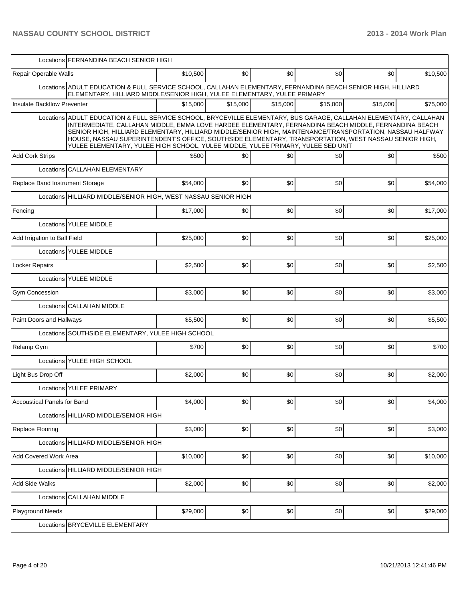|                                    | Locations FERNANDINA BEACH SENIOR HIGH                                                                                                                                                                                                                                                                                                                                                                                                                                                                                               |          |          |          |          |          |          |
|------------------------------------|--------------------------------------------------------------------------------------------------------------------------------------------------------------------------------------------------------------------------------------------------------------------------------------------------------------------------------------------------------------------------------------------------------------------------------------------------------------------------------------------------------------------------------------|----------|----------|----------|----------|----------|----------|
| Repair Operable Walls              |                                                                                                                                                                                                                                                                                                                                                                                                                                                                                                                                      | \$10,500 | \$0      | \$0      | \$0      | \$0      | \$10,500 |
|                                    | Locations ADULT EDUCATION & FULL SERVICE SCHOOL, CALLAHAN ELEMENTARY, FERNANDINA BEACH SENIOR HIGH, HILLIARD<br>ELEMENTARY, HILLIARD MIDDLE/SENIOR HIGH, YULEE ELEMENTARY, YULEE PRIMARY                                                                                                                                                                                                                                                                                                                                             |          |          |          |          |          |          |
| Insulate Backflow Preventer        |                                                                                                                                                                                                                                                                                                                                                                                                                                                                                                                                      | \$15.000 | \$15,000 | \$15,000 | \$15,000 | \$15,000 | \$75,000 |
|                                    | Locations ADULT EDUCATION & FULL SERVICE SCHOOL, BRYCEVILLE ELEMENTARY, BUS GARAGE, CALLAHAN ELEMENTARY, CALLAHAN<br>INTERMEDIATE, CALLAHAN MIDDLE, EMMA LOVE HARDEE ELEMENTARY, FERNANDINA BEACH MIDDLE, FERNANDINA BEACH<br>SENIOR HIGH, HILLIARD ELEMENTARY, HILLIARD MIDDLE/SENIOR HIGH, MAINTENANCE/TRANSPORTATION, NASSAU HALFWAY<br>HOUSE, NASSAU SUPERINTENDENT'S OFFICE, SOUTHSIDE ELEMENTARY, TRANSPORTATION, WEST NASSAU SENIOR HIGH,<br>YULEE ELEMENTARY, YULEE HIGH SCHOOL, YULEE MIDDLE, YULEE PRIMARY, YULEE SED UNIT |          |          |          |          |          |          |
| <b>Add Cork Strips</b>             |                                                                                                                                                                                                                                                                                                                                                                                                                                                                                                                                      | \$500    | \$0      | \$0      | \$0      | \$0      | \$500    |
|                                    | Locations CALLAHAN ELEMENTARY                                                                                                                                                                                                                                                                                                                                                                                                                                                                                                        |          |          |          |          |          |          |
| Replace Band Instrument Storage    |                                                                                                                                                                                                                                                                                                                                                                                                                                                                                                                                      | \$54,000 | \$0      | \$0      | \$0      | \$0      | \$54,000 |
|                                    | Locations HILLIARD MIDDLE/SENIOR HIGH, WEST NASSAU SENIOR HIGH                                                                                                                                                                                                                                                                                                                                                                                                                                                                       |          |          |          |          |          |          |
| Fencing                            |                                                                                                                                                                                                                                                                                                                                                                                                                                                                                                                                      | \$17,000 | \$0      | \$0      | \$0      | \$0      | \$17,000 |
|                                    | Locations YULEE MIDDLE                                                                                                                                                                                                                                                                                                                                                                                                                                                                                                               |          |          |          |          |          |          |
| Add Irrigation to Ball Field       |                                                                                                                                                                                                                                                                                                                                                                                                                                                                                                                                      | \$25,000 | \$0      | \$0      | \$0      | \$0      | \$25,000 |
|                                    | Locations YULEE MIDDLE                                                                                                                                                                                                                                                                                                                                                                                                                                                                                                               |          |          |          |          |          |          |
| Locker Repairs                     |                                                                                                                                                                                                                                                                                                                                                                                                                                                                                                                                      | \$2,500  | \$0      | \$0      | \$0      | \$0      | \$2,500  |
|                                    | Locations YULEE MIDDLE                                                                                                                                                                                                                                                                                                                                                                                                                                                                                                               |          |          |          |          |          |          |
| <b>Gym Concession</b>              |                                                                                                                                                                                                                                                                                                                                                                                                                                                                                                                                      | \$3,000  | \$0      | \$0      | \$0      | \$0      | \$3,000  |
|                                    | Locations CALLAHAN MIDDLE                                                                                                                                                                                                                                                                                                                                                                                                                                                                                                            |          |          |          |          |          |          |
| Paint Doors and Hallways           |                                                                                                                                                                                                                                                                                                                                                                                                                                                                                                                                      | \$5,500  | \$0      | \$0      | \$0      | \$0      | \$5,500  |
|                                    | Locations SOUTHSIDE ELEMENTARY, YULEE HIGH SCHOOL                                                                                                                                                                                                                                                                                                                                                                                                                                                                                    |          |          |          |          |          |          |
| Relamp Gym                         |                                                                                                                                                                                                                                                                                                                                                                                                                                                                                                                                      | \$700    | \$0      | \$0      | \$0      | \$0      | \$700    |
|                                    | Locations YULEE HIGH SCHOOL                                                                                                                                                                                                                                                                                                                                                                                                                                                                                                          |          |          |          |          |          |          |
| Light Bus Drop Off                 |                                                                                                                                                                                                                                                                                                                                                                                                                                                                                                                                      | \$2,000  | \$0      | \$0      | \$0      | \$0      | \$2,000  |
|                                    | Locations YULEE PRIMARY                                                                                                                                                                                                                                                                                                                                                                                                                                                                                                              |          |          |          |          |          |          |
| <b>Accoustical Panels for Band</b> |                                                                                                                                                                                                                                                                                                                                                                                                                                                                                                                                      | \$4,000  | \$0      | \$0      | \$0      | \$0      | \$4,000  |
|                                    | Locations HILLIARD MIDDLE/SENIOR HIGH                                                                                                                                                                                                                                                                                                                                                                                                                                                                                                |          |          |          |          |          |          |
| Replace Flooring                   |                                                                                                                                                                                                                                                                                                                                                                                                                                                                                                                                      | \$3,000  | \$0      | \$0      | \$0      | \$0      | \$3,000  |
|                                    | Locations HILLIARD MIDDLE/SENIOR HIGH                                                                                                                                                                                                                                                                                                                                                                                                                                                                                                |          |          |          |          |          |          |
| Add Covered Work Area              |                                                                                                                                                                                                                                                                                                                                                                                                                                                                                                                                      | \$10,000 | \$0      | \$0      | \$0      | \$0      | \$10,000 |
|                                    | Locations HILLIARD MIDDLE/SENIOR HIGH                                                                                                                                                                                                                                                                                                                                                                                                                                                                                                |          |          |          |          |          |          |
| <b>Add Side Walks</b>              |                                                                                                                                                                                                                                                                                                                                                                                                                                                                                                                                      | \$2,000  | \$0      | \$0      | \$0      | \$0      | \$2,000  |
|                                    | Locations CALLAHAN MIDDLE                                                                                                                                                                                                                                                                                                                                                                                                                                                                                                            |          |          |          |          |          |          |
| <b>Playground Needs</b>            |                                                                                                                                                                                                                                                                                                                                                                                                                                                                                                                                      | \$29,000 | \$0      | \$0      | \$0      | \$0      | \$29,000 |
|                                    | Locations BRYCEVILLE ELEMENTARY                                                                                                                                                                                                                                                                                                                                                                                                                                                                                                      |          |          |          |          |          |          |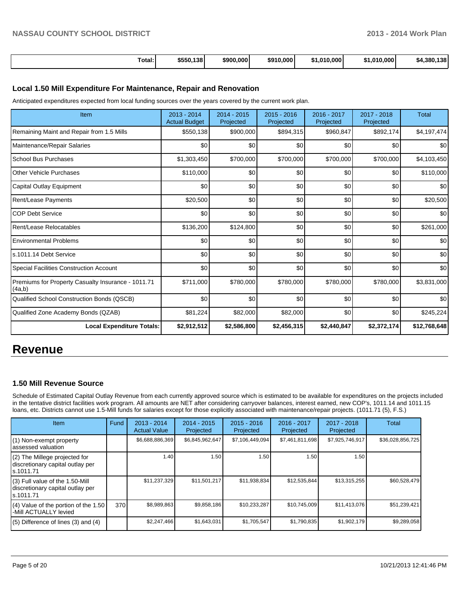| Total: | \$550.138 | \$900,000 | \$910,000 | \$1.010.000 | \$1.010.000 | 420<br>\$4.380.<br>. 138 |
|--------|-----------|-----------|-----------|-------------|-------------|--------------------------|

### **Local 1.50 Mill Expenditure For Maintenance, Repair and Renovation**

Anticipated expenditures expected from local funding sources over the years covered by the current work plan.

| Item                                                         | 2013 - 2014<br><b>Actual Budget</b> | 2014 - 2015<br>Projected | 2015 - 2016<br>Projected | 2016 - 2017<br>Projected | 2017 - 2018<br>Projected | <b>Total</b> |
|--------------------------------------------------------------|-------------------------------------|--------------------------|--------------------------|--------------------------|--------------------------|--------------|
| Remaining Maint and Repair from 1.5 Mills                    | \$550,138                           | \$900,000                | \$894,315                | \$960,847                | \$892,174                | \$4,197,474  |
| Maintenance/Repair Salaries                                  | \$0                                 | \$0                      | \$0                      | \$0                      | \$0                      | \$0          |
| <b>School Bus Purchases</b>                                  | \$1,303,450                         | \$700,000                | \$700,000                | \$700,000                | \$700,000                | \$4,103,450  |
| <b>Other Vehicle Purchases</b>                               | \$110,000                           | \$0                      | \$0                      | \$0                      | \$0                      | \$110,000    |
| Capital Outlay Equipment                                     | \$0                                 | \$0                      | \$0                      | \$0                      | \$0                      | \$0          |
| Rent/Lease Payments                                          | \$20,500                            | \$0                      | \$0                      | \$0                      | \$0                      | \$20,500     |
| <b>COP Debt Service</b>                                      | \$0                                 | \$0                      | \$0                      | \$0                      | \$0                      | \$0          |
| Rent/Lease Relocatables                                      | \$136,200                           | \$124,800                | \$0                      | \$0                      | \$0                      | \$261,000    |
| <b>Environmental Problems</b>                                | \$0                                 | \$0                      | \$0                      | \$0                      | \$0                      | \$0          |
| ls.1011.14 Debt Service                                      | \$0                                 | \$0                      | \$0                      | \$0                      | \$0                      | \$0          |
| Special Facilities Construction Account                      | \$0                                 | \$0                      | \$0                      | \$0                      | \$0                      | \$0          |
| Premiums for Property Casualty Insurance - 1011.71<br>(4a,b) | \$711,000                           | \$780,000                | \$780,000                | \$780,000                | \$780,000                | \$3,831,000  |
| Qualified School Construction Bonds (QSCB)                   | \$0                                 | \$0                      | \$0                      | \$0                      | \$0                      | \$0          |
| Qualified Zone Academy Bonds (QZAB)                          | \$81,224                            | \$82,000                 | \$82,000                 | \$0                      | \$0                      | \$245,224    |
| <b>Local Expenditure Totals:</b>                             | \$2,912,512                         | \$2,586,800              | \$2,456,315              | \$2,440,847              | \$2,372,174              | \$12,768,648 |

# **Revenue**

### **1.50 Mill Revenue Source**

Schedule of Estimated Capital Outlay Revenue from each currently approved source which is estimated to be available for expenditures on the projects included in the tentative district facilities work program. All amounts are NET after considering carryover balances, interest earned, new COP's, 1011.14 and 1011.15 loans, etc. Districts cannot use 1.5-Mill funds for salaries except for those explicitly associated with maintenance/repair projects. (1011.71 (5), F.S.)

| Item                                                                                | Fund | $2013 - 2014$<br><b>Actual Value</b> | $2014 - 2015$<br>Projected | $2015 - 2016$<br>Projected | $2016 - 2017$<br>Projected | $2017 - 2018$<br>Projected | Total            |
|-------------------------------------------------------------------------------------|------|--------------------------------------|----------------------------|----------------------------|----------------------------|----------------------------|------------------|
| (1) Non-exempt property<br>lassessed valuation                                      |      | \$6,688,886,369                      | \$6,845,962,647            | \$7,106,449,094            | \$7,461,811,698            | \$7,925,746,917            | \$36,028,856,725 |
| $(2)$ The Millege projected for<br>discretionary capital outlay per<br>ls.1011.71   |      | 1.40                                 | 1.50                       | 1.50                       | 1.50                       | 1.50                       |                  |
| $(3)$ Full value of the 1.50-Mill<br>discretionary capital outlay per<br>ls.1011.71 |      | \$11,237,329                         | \$11,501,217               | \$11,938,834               | \$12,535,844               | \$13,315,255               | \$60,528,479     |
| $(4)$ Value of the portion of the 1.50<br>I-Mill ACTUALLY levied                    | 370  | \$8,989,863                          | \$9,858,186                | \$10,233,287               | \$10,745,009               | \$11,413,076               | \$51,239,421     |
| $(5)$ Difference of lines (3) and (4)                                               |      | \$2,247,466                          | \$1,643,031                | \$1,705,547                | \$1,790,835                | \$1,902,179                | \$9,289,058      |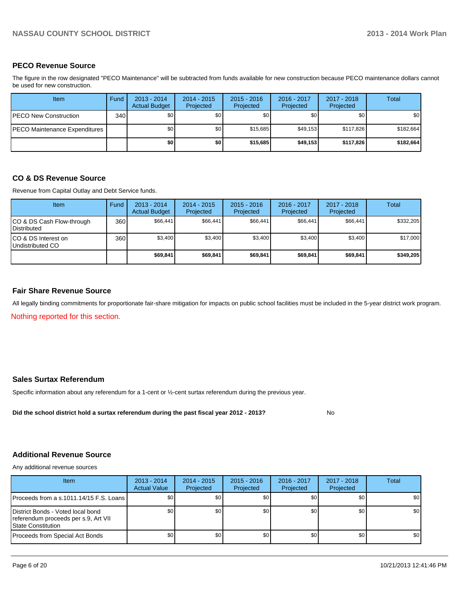### **PECO Revenue Source**

The figure in the row designated "PECO Maintenance" will be subtracted from funds available for new construction because PECO maintenance dollars cannot be used for new construction.

| Item                          | Fund | $2013 - 2014$<br><b>Actual Budget</b> | $2014 - 2015$<br>Projected | $2015 - 2016$<br>Projected | 2016 - 2017<br>Projected | 2017 - 2018<br>Projected | Total            |
|-------------------------------|------|---------------------------------------|----------------------------|----------------------------|--------------------------|--------------------------|------------------|
| PECO New Construction         | 340  | \$0 <sub>1</sub>                      | \$0 <sub>1</sub>           | \$0 <sub>1</sub>           | \$0 <sub>1</sub>         | \$0                      | \$0 <sub>1</sub> |
| PECO Maintenance Expenditures |      | \$0                                   | \$0 <sub>l</sub>           | \$15.685                   | \$49.153                 | \$117.826                | \$182,664        |
|                               |      | \$0                                   | \$O                        | \$15,685                   | \$49.153                 | \$117,826                | \$182,664        |

### **CO & DS Revenue Source**

Revenue from Capital Outlay and Debt Service funds.

| <b>Item</b>                                     | Fund | $2013 - 2014$<br><b>Actual Budget</b> | $2014 - 2015$<br>Projected | $2015 - 2016$<br>Projected | $2016 - 2017$<br>Projected | $2017 - 2018$<br>Projected | Total     |
|-------------------------------------------------|------|---------------------------------------|----------------------------|----------------------------|----------------------------|----------------------------|-----------|
| CO & DS Cash Flow-through<br><b>Distributed</b> | 360  | \$66,441                              | \$66.441                   | \$66,441                   | \$66.441                   | \$66,441                   | \$332,205 |
| CO & DS Interest on<br>Undistributed CO         | 360  | \$3,400                               | \$3,400                    | \$3,400                    | \$3.400                    | \$3,400                    | \$17,000  |
|                                                 |      | \$69,841                              | \$69,841                   | \$69,841                   | \$69.841                   | \$69,841                   | \$349,205 |

### **Fair Share Revenue Source**

All legally binding commitments for proportionate fair-share mitigation for impacts on public school facilities must be included in the 5-year district work program.

Nothing reported for this section.

### **Sales Surtax Referendum**

Specific information about any referendum for a 1-cent or ½-cent surtax referendum during the previous year.

**Did the school district hold a surtax referendum during the past fiscal year 2012 - 2013?**

No

## **Additional Revenue Source**

Any additional revenue sources

| Item                                                                                              | $2013 - 2014$<br><b>Actual Value</b> | $2014 - 2015$<br>Projected | $2015 - 2016$<br>Projected | $2016 - 2017$<br>Projected | 2017 - 2018<br>Projected | Total            |
|---------------------------------------------------------------------------------------------------|--------------------------------------|----------------------------|----------------------------|----------------------------|--------------------------|------------------|
| IProceeds from a s.1011.14/15 F.S. Loans I                                                        | \$0                                  | \$0 <sub>1</sub>           | \$0                        | \$0                        | \$0                      | \$0 <sub>1</sub> |
| District Bonds - Voted local bond<br>referendum proceeds per s.9, Art VII<br>l State Constitution | \$0 <sub>1</sub>                     | \$0 <sub>1</sub>           | \$0                        | \$0 <sub>1</sub>           | \$0                      | \$0 <sub>1</sub> |
| Proceeds from Special Act Bonds                                                                   | \$0                                  | \$0                        | \$0                        | \$0 <sub>0</sub>           | \$0                      | \$0 <sub>1</sub> |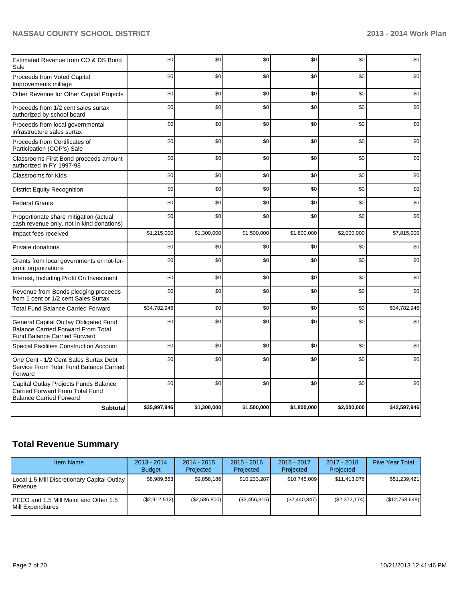| Estimated Revenue from CO & DS Bond<br>Sale                                                                               | \$0          | \$0         | \$0         | \$0         | \$0         | \$0          |
|---------------------------------------------------------------------------------------------------------------------------|--------------|-------------|-------------|-------------|-------------|--------------|
| Proceeds from Voted Capital<br>Improvements millage                                                                       | \$0          | \$0         | \$0         | \$0         | \$0         | \$0          |
| Other Revenue for Other Capital Projects                                                                                  | \$0          | \$0         | \$0         | \$0         | \$0         | \$0          |
| Proceeds from 1/2 cent sales surtax<br>authorized by school board                                                         | \$0          | \$0         | \$0         | \$0         | \$0         | \$0          |
| Proceeds from local governmental<br>infrastructure sales surtax                                                           | \$0          | \$0         | \$0         | \$0         | \$0         | \$0          |
| Proceeds from Certificates of<br>Participation (COP's) Sale                                                               | \$0          | \$0         | \$0         | \$0         | \$0         | \$0          |
| Classrooms First Bond proceeds amount<br>authorized in FY 1997-98                                                         | \$0          | \$0         | \$0         | \$0         | \$0         | \$0          |
| <b>Classrooms for Kids</b>                                                                                                | \$0          | \$0         | \$0         | \$0         | \$0         | \$0          |
| <b>District Equity Recognition</b>                                                                                        | \$0          | \$0         | \$0         | \$0         | \$0         | \$0          |
| <b>Federal Grants</b>                                                                                                     | \$0          | \$0         | \$0         | \$0         | \$0         | \$0          |
| Proportionate share mitigation (actual<br>cash revenue only, not in kind donations)                                       | \$0          | \$0         | \$0         | \$0         | \$0         | \$0          |
| Impact fees received                                                                                                      | \$1,215,000  | \$1,300,000 | \$1,500,000 | \$1,800,000 | \$2,000,000 | \$7,815,000  |
| Private donations                                                                                                         | \$0          | \$0         | \$0         | \$0         | \$0         | \$0          |
| Grants from local governments or not-for-<br>profit organizations                                                         | \$0          | \$0         | \$0         | \$0         | \$0         | \$0          |
| Interest, Including Profit On Investment                                                                                  | \$0          | \$0         | \$0         | \$0         | \$0         | \$0          |
| Revenue from Bonds pledging proceeds<br>from 1 cent or 1/2 cent Sales Surtax                                              | \$0          | \$0         | \$0         | \$0         | \$0         | \$0          |
| <b>Total Fund Balance Carried Forward</b>                                                                                 | \$34,782,946 | \$0         | \$0         | \$0         | \$0         | \$34,782,946 |
| General Capital Outlay Obligated Fund<br><b>Balance Carried Forward From Total</b><br><b>Fund Balance Carried Forward</b> | \$0          | \$0         | \$0         | \$0         | \$0         | \$0          |
| <b>Special Facilities Construction Account</b>                                                                            | \$0          | \$0         | \$0         | \$0         | \$0         | \$0          |
| One Cent - 1/2 Cent Sales Surtax Debt<br>Service From Total Fund Balance Carried<br>Forward                               | \$0          | \$0         | \$0         | \$0         | \$0         | \$0          |
| Capital Outlay Projects Funds Balance<br><b>Carried Forward From Total Fund</b><br><b>Balance Carried Forward</b>         | \$0          | \$0         | \$0         | \$0         | \$0         | \$0          |
| <b>Subtotal</b>                                                                                                           | \$35,997,946 | \$1,300,000 | \$1,500,000 | \$1,800,000 | \$2,000,000 | \$42,597,946 |

# **Total Revenue Summary**

| <b>Item Name</b>                                                | $2013 - 2014$<br><b>Budget</b> | $2014 - 2015$<br>Projected | $2015 - 2016$<br>Projected | 2016 - 2017<br>Projected | $2017 - 2018$<br>Projected | <b>Five Year Total</b> |
|-----------------------------------------------------------------|--------------------------------|----------------------------|----------------------------|--------------------------|----------------------------|------------------------|
| Local 1.5 Mill Discretionary Capital Outlay<br><b>I</b> Revenue | \$8,989,863                    | \$9,858,186                | \$10,233,287               | \$10.745.009             | \$11.413.076               | \$51,239,421           |
| IPECO and 1.5 Mill Maint and Other 1.5<br>Mill Expenditures     | (\$2,912,512)                  | (\$2,586,800)              | (\$2,456,315)              | (S2, 440, 847)           | (S2, 372, 174)             | (\$12,768,648)         |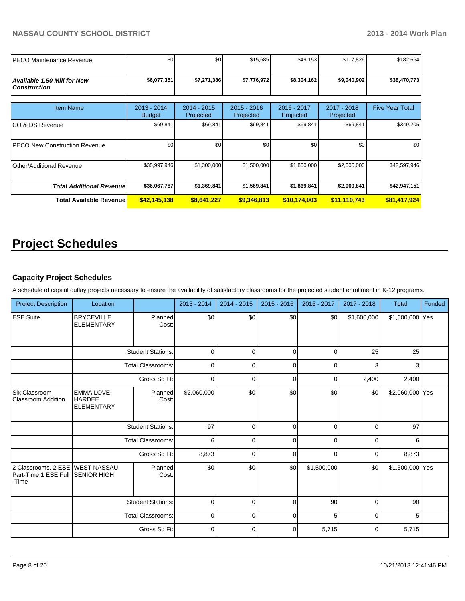| IPECO Maintenance Revenue                       | \$0                          | \$0                      | \$15,685                   | \$49,153                 | \$117,826                | \$182,664              |
|-------------------------------------------------|------------------------------|--------------------------|----------------------------|--------------------------|--------------------------|------------------------|
| Available 1.50 Mill for New l<br>  Construction | \$6,077,351                  | \$7,271,386              | \$7,776,972                | \$8,304,162              | \$9,040,902              | \$38,470,773           |
| <b>Item Name</b>                                | 2013 - 2014<br><b>Budget</b> | 2014 - 2015<br>Projected | $2015 - 2016$<br>Projected | 2016 - 2017<br>Projected | 2017 - 2018<br>Projected | <b>Five Year Total</b> |
| ICO & DS Revenue                                | \$69,841                     | \$69,841                 | \$69,841                   | \$69,841                 | \$69,841                 | \$349,205              |
| <b>IPECO New Construction Revenue</b>           | \$0                          | \$0                      | \$0                        | \$0                      | \$0                      | \$0                    |
| Other/Additional Revenue                        | \$35,997,946                 | \$1,300,000              | \$1,500,000                | \$1,800,000              | \$2,000,000              | \$42,597,946           |
| <b>Total Additional Revenuel</b>                | \$36,067,787                 | \$1,369,841              | \$1,569,841                | \$1,869,841              | \$2,069,841              | \$42,947,151           |
| <b>Total Available Revenue</b>                  | \$42,145,138                 | \$8,641,227              | \$9,346,813                | \$10,174,003             | \$11,110,743             | \$81,417,924           |

# **Project Schedules**

## **Capacity Project Schedules**

A schedule of capital outlay projects necessary to ensure the availability of satisfactory classrooms for the projected student enrollment in K-12 programs.

| <b>Project Description</b>                                                   | Location                                               |                          | 2013 - 2014 | $2014 - 2015$ | $2015 - 2016$ | 2016 - 2017 | 2017 - 2018 | <b>Total</b>    | Funded |
|------------------------------------------------------------------------------|--------------------------------------------------------|--------------------------|-------------|---------------|---------------|-------------|-------------|-----------------|--------|
| <b>ESE Suite</b>                                                             | <b>BRYCEVILLE</b><br><b>ELEMENTARY</b>                 | Planned<br>Cost:         | \$0         | \$0           | \$0           | \$0         | \$1,600,000 | \$1,600,000 Yes |        |
|                                                                              |                                                        | <b>Student Stations:</b> | $\mathbf 0$ | 0             | $\Omega$      | $\Omega$    | 25          | 25              |        |
|                                                                              |                                                        | <b>Total Classrooms:</b> | $\mathbf 0$ | 0             | $\mathbf 0$   | $\Omega$    | 3           | 3               |        |
|                                                                              | Gross Sq Ft:                                           |                          | $\mathbf 0$ | 0             | $\mathbf 0$   | 0           | 2,400       | 2,400           |        |
| Six Classroom<br><b>Classroom Addition</b>                                   | <b>EMMA LOVE</b><br><b>HARDEE</b><br><b>ELEMENTARY</b> | Planned<br>Cost:         | \$2,060,000 | \$0           | \$0           | \$0         | \$0         | \$2,060,000 Yes |        |
|                                                                              | <b>Student Stations:</b>                               |                          | 97          | $\Omega$      | $\mathbf 0$   | $\Omega$    | $\mathbf 0$ | 97              |        |
|                                                                              |                                                        | <b>Total Classrooms:</b> | 6           | 0             | $\Omega$      | $\Omega$    | $\Omega$    | 6               |        |
|                                                                              |                                                        | Gross Sq Ft:             | 8,873       | 0             | $\Omega$      | $\Omega$    | $\Omega$    | 8,873           |        |
| 2 Classrooms, 2 ESE WEST NASSAU<br>Part-Time,1 ESE Full SENIOR HIGH<br>-Time |                                                        | Planned<br>Cost:         | \$0         | \$0           | \$0           | \$1,500,000 | \$0         | \$1,500,000 Yes |        |
|                                                                              |                                                        | <b>Student Stations:</b> | $\mathbf 0$ | 0             | $\mathbf 0$   | 90          | $\Omega$    | 90              |        |
|                                                                              |                                                        | <b>Total Classrooms:</b> | 0           | 0             | 0             | 5           | $\Omega$    | 5               |        |
|                                                                              |                                                        | Gross Sq Ft:             | $\mathbf 0$ | $\mathbf 0$   | $\mathbf 0$   | 5,715       | 0           | 5,715           |        |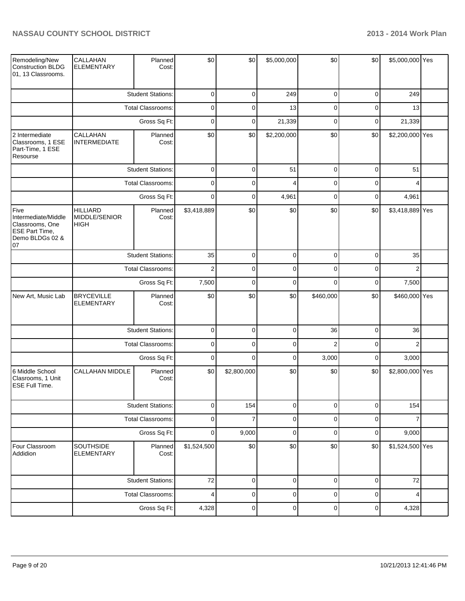| Remodeling/New<br>Construction BLDG<br>01, 13 Classrooms.                                 | CALLAHAN<br><b>ELEMENTARY</b>                                        | Planned<br>Cost:         | \$0            | \$0            | \$5,000,000    | \$0            | \$0         | \$5,000,000 Yes |  |
|-------------------------------------------------------------------------------------------|----------------------------------------------------------------------|--------------------------|----------------|----------------|----------------|----------------|-------------|-----------------|--|
|                                                                                           |                                                                      | <b>Student Stations:</b> | $\mathbf 0$    | $\mathbf 0$    | 249            | $\mathbf 0$    | $\mathbf 0$ | 249             |  |
|                                                                                           |                                                                      | Total Classrooms:        | $\mathbf 0$    | $\mathbf 0$    | 13             | $\mathbf 0$    | $\mathbf 0$ | 13              |  |
|                                                                                           |                                                                      | Gross Sq Ft:             | $\mathbf 0$    | $\mathbf 0$    | 21,339         | $\mathbf 0$    | $\pmb{0}$   | 21,339          |  |
| 2 Intermediate<br>Classrooms, 1 ESE<br>Part-Time, 1 ESE<br>Resourse                       | CALLAHAN<br><b>INTERMEDIATE</b>                                      | Planned<br>Cost:         | \$0            | \$0            | \$2,200,000    | \$0            | \$0         | \$2,200,000 Yes |  |
|                                                                                           |                                                                      | <b>Student Stations:</b> | $\mathbf 0$    | $\mathbf 0$    | 51             | $\mathbf 0$    | $\mathbf 0$ | 51              |  |
|                                                                                           |                                                                      | Total Classrooms:        | $\mathbf 0$    | $\mathbf 0$    | $\overline{4}$ | $\mathbf 0$    | $\mathbf 0$ | 4               |  |
|                                                                                           |                                                                      | Gross Sq Ft:             | $\mathbf 0$    | $\mathbf 0$    | 4,961          | $\mathbf 0$    | $\mathbf 0$ | 4,961           |  |
| Five<br>Intermediate/Middle<br>Classrooms, One<br>ESE Part Time,<br>Demo BLDGs 02 &<br>07 | <b>HILLIARD</b><br>MIDDLE/SENIOR<br><b>HIGH</b>                      | Planned<br>Cost:         | \$3,418,889    | \$0            | \$0            | \$0            | \$0         | \$3,418,889 Yes |  |
|                                                                                           | <b>Student Stations:</b><br><b>Total Classrooms:</b><br>Gross Sq Ft: |                          | 35             | $\mathbf 0$    | $\mathbf 0$    | $\mathbf 0$    | $\mathbf 0$ | 35              |  |
|                                                                                           |                                                                      |                          | $\overline{2}$ | $\mathbf 0$    | $\mathbf 0$    | $\mathbf 0$    | $\mathbf 0$ | $\overline{2}$  |  |
|                                                                                           |                                                                      |                          | 7,500          | $\mathbf 0$    | $\mathbf 0$    | $\mathbf 0$    | $\mathbf 0$ | 7,500           |  |
| New Art, Music Lab                                                                        | <b>BRYCEVILLE</b><br><b>ELEMENTARY</b>                               | Planned<br>Cost:         | \$0            | \$0            | \$0            | \$460,000      | \$0         | \$460,000 Yes   |  |
|                                                                                           |                                                                      | <b>Student Stations:</b> | 0              | $\mathbf 0$    | $\mathbf 0$    | 36             | 0           | 36              |  |
|                                                                                           |                                                                      | <b>Total Classrooms:</b> | 0              | 0              | $\mathbf 0$    | $\overline{c}$ | 0           | $\overline{c}$  |  |
|                                                                                           |                                                                      | Gross Sq Ft:             | 0              | 0              | $\mathbf 0$    | 3,000          | 0           | 3,000           |  |
| 6 Middle School<br>Clasrooms, 1 Unit<br><b>ESE Full Time.</b>                             | <b>CALLAHAN MIDDLE</b>                                               | Planned<br>Cost:         | \$0            | \$2,800,000    | \$0            | \$0            | \$0         | \$2,800,000 Yes |  |
|                                                                                           |                                                                      | <b>Student Stations:</b> | $\mathbf 0$    | 154            | $\mathbf 0$    | $\mathbf 0$    | $\pmb{0}$   | 154             |  |
|                                                                                           |                                                                      | Total Classrooms:        | $\mathbf 0$    | $\overline{7}$ | $\mathbf 0$    | $\mathbf 0$    | 0           | $\overline{7}$  |  |
|                                                                                           |                                                                      | Gross Sq Ft:             | $\mathbf 0$    | 9,000          | $\mathbf 0$    | $\mathbf 0$    | $\pmb{0}$   | 9,000           |  |
| Four Classroom<br>Addidion                                                                | SOUTHSIDE<br><b>ELEMENTARY</b>                                       | Planned<br>Cost:         | \$1,524,500    | \$0            | \$0            | \$0            | \$0         | \$1,524,500 Yes |  |
|                                                                                           |                                                                      | <b>Student Stations:</b> | 72             | $\pmb{0}$      | $\pmb{0}$      | $\mathbf 0$    | 0           | 72              |  |
|                                                                                           |                                                                      | Total Classrooms:        | 4              | $\pmb{0}$      | $\pmb{0}$      | $\pmb{0}$      | 0           | 4               |  |
|                                                                                           |                                                                      | Gross Sq Ft:             | 4,328          | $\pmb{0}$      | $\pmb{0}$      | $\pmb{0}$      | 0           | 4,328           |  |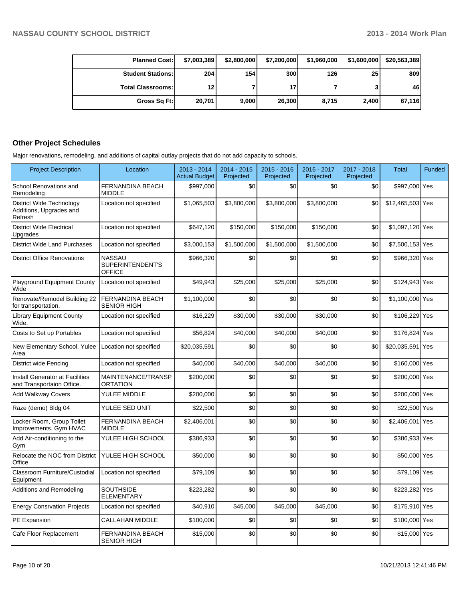| <b>Planned Cost:</b>       | \$7,003,389 | \$2,800,000 | \$7,200,000 | \$1,960,000 | \$1,600,000     | \$20,563,389 |
|----------------------------|-------------|-------------|-------------|-------------|-----------------|--------------|
| <b>Student Stations: I</b> | 204         | 154         | 300         | 126         | 25 <sub>1</sub> | 809          |
| <b>Total Classrooms: I</b> | 12          |             |             |             |                 | 46           |
| Gross Sq Ft:               | 20,701      | 9,000       | 26,300      | 8,715       | 2,400           | 67,116       |

# **Other Project Schedules**

Major renovations, remodeling, and additions of capital outlay projects that do not add capacity to schools.

| <b>Project Description</b>                                     | Location                                           | $2013 - 2014$<br><b>Actual Budget</b> | 2014 - 2015<br>Projected | $2015 - 2016$<br>Projected | 2016 - 2017<br>Projected | 2017 - 2018<br>Projected | Total            | Funded |
|----------------------------------------------------------------|----------------------------------------------------|---------------------------------------|--------------------------|----------------------------|--------------------------|--------------------------|------------------|--------|
| School Renovations and<br>Remodeling                           | <b>FERNANDINA BEACH</b><br><b>MIDDLE</b>           | \$997,000                             | \$0                      | \$0                        | \$0                      | \$0                      | \$997,000 Yes    |        |
| District Wide Technology<br>Additions, Upgrades and<br>Refresh | Location not specified                             | \$1,065,503                           | \$3,800,000              | \$3,800,000                | \$3,800,000              | \$0                      | \$12,465,503 Yes |        |
| <b>District Wide Electrical</b><br>Upgrades                    | Location not specified                             | \$647,120                             | \$150,000                | \$150,000                  | \$150,000                | \$0                      | \$1,097,120 Yes  |        |
| <b>District Wide Land Purchases</b>                            | Location not specified                             | \$3,000,153                           | \$1,500,000              | \$1,500,000                | \$1,500,000              | \$0                      | \$7,500,153 Yes  |        |
| <b>District Office Renovations</b>                             | <b>NASSAU</b><br>SUPERINTENDENT'S<br><b>OFFICE</b> | \$966,320                             | \$0                      | \$0                        | \$0                      | \$0                      | \$966,320 Yes    |        |
| <b>Playground Equipment County</b><br>Wide                     | Location not specified                             | \$49,943                              | \$25,000                 | \$25,000                   | \$25,000                 | \$0                      | \$124,943 Yes    |        |
| Renovate/Remodel Building 22<br>for transportation.            | FERNANDINA BEACH<br><b>SENIOR HIGH</b>             | \$1,100,000                           | \$0                      | \$0                        | \$0                      | \$0                      | \$1,100,000 Yes  |        |
| <b>Library Equipment County</b><br>Wide.                       | Location not specified                             | \$16,229                              | \$30,000                 | \$30,000                   | \$30,000                 | \$0                      | \$106,229 Yes    |        |
| Costs to Set up Portables                                      | Location not specified                             | \$56,824                              | \$40,000                 | \$40,000                   | \$40,000                 | \$0                      | \$176,824 Yes    |        |
| New Elementary School, Yulee<br>Area                           | Location not specified                             | \$20,035,591                          | \$0                      | \$0                        | \$0                      | \$0                      | \$20,035,591 Yes |        |
| District wide Fencing                                          | Location not specified                             | \$40,000                              | \$40,000                 | \$40,000                   | \$40,000                 | \$0                      | \$160,000 Yes    |        |
| Install Generator at Facilities<br>and Transportaion Office.   | MAINTENANCE/TRANSP<br><b>ORTATION</b>              | \$200,000                             | \$0                      | \$0                        | \$0                      | \$0                      | \$200,000 Yes    |        |
| <b>Add Walkway Covers</b>                                      | YULEE MIDDLE                                       | \$200,000                             | \$0                      | \$0                        | \$0                      | \$0                      | \$200,000 Yes    |        |
| Raze (demo) Bldg 04                                            | YULEE SED UNIT                                     | \$22,500                              | \$0                      | \$0                        | \$0                      | \$0                      | \$22,500 Yes     |        |
| Locker Room, Group Toilet<br>Improvements, Gym HVAC            | FERNANDINA BEACH<br><b>MIDDLE</b>                  | \$2,406,001                           | \$0                      | \$0                        | \$0                      | \$0                      | \$2,406,001 Yes  |        |
| Add Air-conditioning to the<br>Gym                             | YULEE HIGH SCHOOL                                  | \$386,933                             | \$0                      | \$0                        | \$0                      | \$0                      | \$386,933 Yes    |        |
| Relocate the NOC from District<br>Office                       | YULEE HIGH SCHOOL                                  | \$50,000                              | \$0                      | \$0                        | \$0                      | \$0                      | \$50,000 Yes     |        |
| Classroom Furniture/Custodial<br>Equipment                     | Location not specified                             | \$79,109                              | \$0                      | \$0                        | \$0                      | \$0                      | \$79,109 Yes     |        |
| Additions and Remodeling                                       | <b>SOUTHSIDE</b><br><b>ELEMENTARY</b>              | \$223,282                             | \$0                      | \$0                        | \$0                      | \$0                      | \$223,282 Yes    |        |
| <b>Energy Consrvation Projects</b>                             | Location not specified                             | \$40,910                              | \$45,000                 | \$45,000                   | \$45,000                 | \$0                      | \$175,910 Yes    |        |
| <b>PE Expansion</b>                                            | <b>CALLAHAN MIDDLE</b>                             | \$100,000                             | \$0                      | \$0                        | \$0                      | \$0                      | \$100,000 Yes    |        |
| Cafe Floor Replacement                                         | <b>FERNANDINA BEACH</b><br><b>SENIOR HIGH</b>      | \$15,000                              | \$0                      | \$0                        | \$0                      | \$0                      | \$15,000 Yes     |        |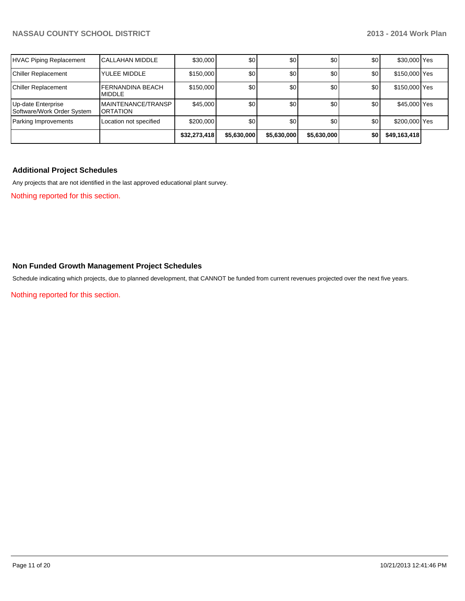|                                                  |                                          | \$32,273,418 | \$5,630,000 | \$5,630,000 | \$5,630,000 | \$0 | \$49,163,418  |  |
|--------------------------------------------------|------------------------------------------|--------------|-------------|-------------|-------------|-----|---------------|--|
| Parking Improvements                             | Location not specified                   | \$200,000    | \$0         | \$0         | \$0         | \$0 | \$200,000 Yes |  |
| Up-date Enterprise<br>Software/Work Order System | MAINTENANCE/TRANSP<br><b>ORTATION</b>    | \$45,000     | \$0         | \$0         | \$0         | \$0 | \$45,000 Yes  |  |
| Chiller Replacement                              | <b>FERNANDINA BEACH</b><br><b>MIDDLE</b> | \$150,000    | \$0         | \$0         | \$0         | \$0 | \$150,000 Yes |  |
| Chiller Replacement                              | YULEE MIDDLE                             | \$150,000    | \$0         | \$0         | \$0         | \$0 | \$150,000 Yes |  |
| HVAC Piping Replacement                          | ICALLAHAN MIDDLE                         | \$30,000     | \$0         | \$0         | \$0         | \$0 | \$30,000 Yes  |  |

# **Additional Project Schedules**

Any projects that are not identified in the last approved educational plant survey.

Nothing reported for this section.

### **Non Funded Growth Management Project Schedules**

Schedule indicating which projects, due to planned development, that CANNOT be funded from current revenues projected over the next five years.

Nothing reported for this section.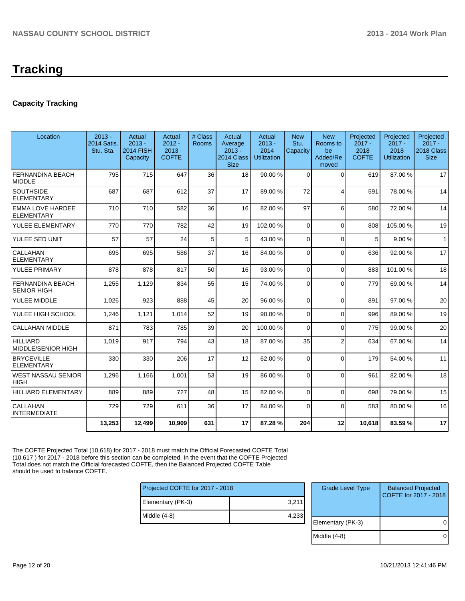# **Tracking**

# **Capacity Tracking**

| Location                                      | $2013 -$<br>2014 Satis.<br>Stu. Sta. | Actual<br>$2013 -$<br><b>2014 FISH</b><br>Capacity | Actual<br>$2012 -$<br>2013<br><b>COFTE</b> | # Class<br>Rooms | Actual<br>Average<br>$2013 -$<br>2014 Class<br><b>Size</b> | Actual<br>$2013 -$<br>2014<br><b>Utilization</b> | <b>New</b><br>Stu.<br>Capacity | <b>New</b><br>Rooms to<br>be<br>Added/Re<br>moved | Projected<br>$2017 -$<br>2018<br><b>COFTE</b> | Projected<br>$2017 -$<br>2018<br><b>Utilization</b> | Projected<br>$2017 -$<br>2018 Class<br><b>Size</b> |
|-----------------------------------------------|--------------------------------------|----------------------------------------------------|--------------------------------------------|------------------|------------------------------------------------------------|--------------------------------------------------|--------------------------------|---------------------------------------------------|-----------------------------------------------|-----------------------------------------------------|----------------------------------------------------|
| <b>FERNANDINA BEACH</b><br><b>MIDDLE</b>      | 795                                  | 715                                                | 647                                        | 36               | 18                                                         | 90.00 %                                          | $\Omega$                       | $\Omega$                                          | 619                                           | 87.00 %                                             | 17                                                 |
| <b>SOUTHSIDE</b><br><b>ELEMENTARY</b>         | 687                                  | 687                                                | 612                                        | 37               | 17                                                         | 89.00 %                                          | 72                             | $\overline{4}$                                    | 591                                           | 78.00%                                              | 14                                                 |
| <b>EMMA LOVE HARDEE</b><br><b>ELEMENTARY</b>  | 710                                  | 710                                                | 582                                        | 36               | 16                                                         | 82.00 %                                          | 97                             | 6                                                 | 580                                           | 72.00 %                                             | 14                                                 |
| YULEE ELEMENTARY                              | 770                                  | 770                                                | 782                                        | 42               | 19                                                         | 102.00%                                          | $\Omega$                       | $\overline{0}$                                    | 808                                           | 105.00%                                             | 19                                                 |
| YULEE SED UNIT                                | 57                                   | 57                                                 | 24                                         | 5                | 5 <sup>1</sup>                                             | 43.00 %                                          | $\Omega$                       | $\Omega$                                          | 5                                             | 9.00%                                               | $\mathbf{1}$                                       |
| CALLAHAN<br><b>ELEMENTARY</b>                 | 695                                  | 695                                                | 586                                        | 37               | 16                                                         | 84.00 %                                          | $\Omega$                       | $\Omega$                                          | 636                                           | 92.00%                                              | 17                                                 |
| YULEE PRIMARY                                 | 878                                  | 878                                                | 817                                        | 50               | 16                                                         | 93.00 %                                          | $\Omega$                       | $\Omega$                                          | 883                                           | 101.00%                                             | 18                                                 |
| <b>FERNANDINA BEACH</b><br><b>SENIOR HIGH</b> | 1,255                                | 1,129                                              | 834                                        | 55               | 15                                                         | 74.00 %                                          | 0                              | $\Omega$                                          | 779                                           | 69.00 %                                             | 14                                                 |
| YULEE MIDDLE                                  | 1,026                                | 923                                                | 888                                        | 45               | 20 <sup>1</sup>                                            | 96.00 %                                          | $\Omega$                       | $\Omega$                                          | 891                                           | 97.00%                                              | 20                                                 |
| YULEE HIGH SCHOOL                             | 1,246                                | 1,121                                              | 1,014                                      | 52               | 19                                                         | 90.00 %                                          | $\overline{0}$                 | $\mathbf 0$                                       | 996                                           | 89.00 %                                             | 19                                                 |
| <b>CALLAHAN MIDDLE</b>                        | 871                                  | 783                                                | 785                                        | 39               | 20                                                         | 100.00%                                          | $\Omega$                       | $\Omega$                                          | 775                                           | 99.00 %                                             | 20                                                 |
| <b>HILLIARD</b><br>MIDDLE/SENIOR HIGH         | 1.019                                | 917                                                | 794                                        | 43               | 18                                                         | 87.00 %                                          | 35                             | $\overline{2}$                                    | 634                                           | 67.00 %                                             | 14                                                 |
| <b>BRYCEVILLE</b><br><b>ELEMENTARY</b>        | 330                                  | 330                                                | 206                                        | 17               | 12                                                         | 62.00 %                                          | $\Omega$                       | $\Omega$                                          | 179                                           | 54.00 %                                             | 11                                                 |
| WEST NASSAU SENIOR<br><b>HIGH</b>             | 1,296                                | 1,166                                              | 1,001                                      | 53               | 19                                                         | 86.00 %                                          | $\Omega$                       | $\Omega$                                          | 961                                           | 82.00%                                              | 18                                                 |
| <b>HILLIARD ELEMENTARY</b>                    | 889                                  | 889                                                | 727                                        | 48               | 15                                                         | 82.00 %                                          | $\Omega$                       | $\Omega$                                          | 698                                           | 79.00 %                                             | 15                                                 |
| CALLAHAN<br><b>INTERMEDIATE</b>               | 729                                  | 729                                                | 611                                        | 36               | 17                                                         | 84.00 %                                          | $\Omega$                       | $\Omega$                                          | 583                                           | 80.00%                                              | 16                                                 |
|                                               | 13,253                               | 12,499                                             | 10,909                                     | 631              | 17                                                         | 87.28%                                           | 204                            | 12                                                | 10,618                                        | 83.59%                                              | 17                                                 |

The COFTE Projected Total (10,618) for 2017 - 2018 must match the Official Forecasted COFTE Total (10,617 ) for 2017 - 2018 before this section can be completed. In the event that the COFTE Projected Total does not match the Official forecasted COFTE, then the Balanced Projected COFTE Table should be used to balance COFTE.

| Projected COFTE for 2017 - 2018 |       |  |  |  |  |
|---------------------------------|-------|--|--|--|--|
| Elementary (PK-3)               | 3,211 |  |  |  |  |
| Middle (4-8)                    | 4,233 |  |  |  |  |
|                                 |       |  |  |  |  |

| <b>Grade Level Type</b> | <b>Balanced Projected</b><br>COFTE for 2017 - 2018 |
|-------------------------|----------------------------------------------------|
| Elementary (PK-3)       |                                                    |
| Middle $(4-8)$          |                                                    |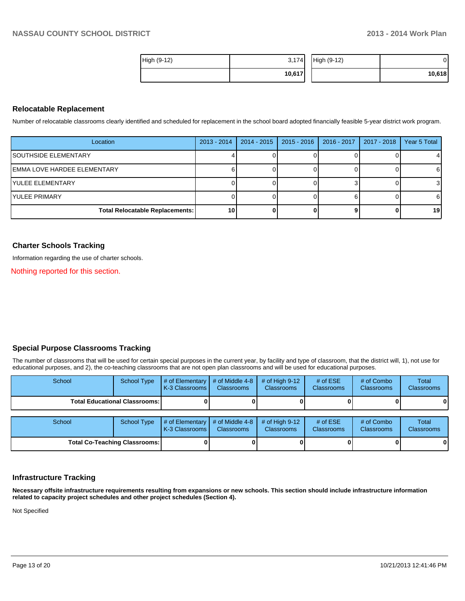| High (9-12) | 3,174  | High (9-12) | D.     |
|-------------|--------|-------------|--------|
|             | 10,617 |             | 10,618 |

### **Relocatable Replacement**

Number of relocatable classrooms clearly identified and scheduled for replacement in the school board adopted financially feasible 5-year district work program.

| Location                               | $2013 - 2014$   | 2014 - 2015 | 2015 - 2016 | 2016 - 2017 | 2017 - 2018 | Year 5 Total |
|----------------------------------------|-----------------|-------------|-------------|-------------|-------------|--------------|
| <b>ISOUTHSIDE ELEMENTARY</b>           |                 |             |             |             |             |              |
| IEMMA LOVE HARDEE ELEMENTARY           |                 |             |             |             |             | -6           |
| IYULEE ELEMENTARY                      |                 |             |             |             |             | 3            |
| IYULEE PRIMARY                         |                 |             |             |             |             | -6           |
| <b>Total Relocatable Replacements:</b> | 10 <sup>1</sup> |             |             |             |             | 19           |

### **Charter Schools Tracking**

Information regarding the use of charter schools.

Nothing reported for this section.

### **Special Purpose Classrooms Tracking**

The number of classrooms that will be used for certain special purposes in the current year, by facility and type of classroom, that the district will, 1), not use for educational purposes, and 2), the co-teaching classrooms that are not open plan classrooms and will be used for educational purposes.

| School                               | School Type | # of Elementary<br>K-3 Classrooms     | # of Middle 4-8<br><b>Classrooms</b> | # of High $9-12$<br>Classrooms | # of $ESE$<br><b>Classrooms</b> | # of Combo<br><b>Classrooms</b> | Total<br>Classrooms        |
|--------------------------------------|-------------|---------------------------------------|--------------------------------------|--------------------------------|---------------------------------|---------------------------------|----------------------------|
| <b>Total Educational Classrooms:</b> |             |                                       |                                      |                                |                                 |                                 | $\mathbf{0}$               |
| School                               | School Type | $#$ of Elementary<br>K-3 Classrooms I | # of Middle 4-8<br><b>Classrooms</b> | # of High $9-12$<br>Classrooms | # of $ESE$<br><b>Classrooms</b> | # of Combo<br><b>Classrooms</b> | Total<br><b>Classrooms</b> |
| <b>Total Co-Teaching Classrooms:</b> |             |                                       |                                      |                                |                                 |                                 | $\mathbf{0}$               |

### **Infrastructure Tracking**

**Necessary offsite infrastructure requirements resulting from expansions or new schools. This section should include infrastructure information related to capacity project schedules and other project schedules (Section 4).**

Not Specified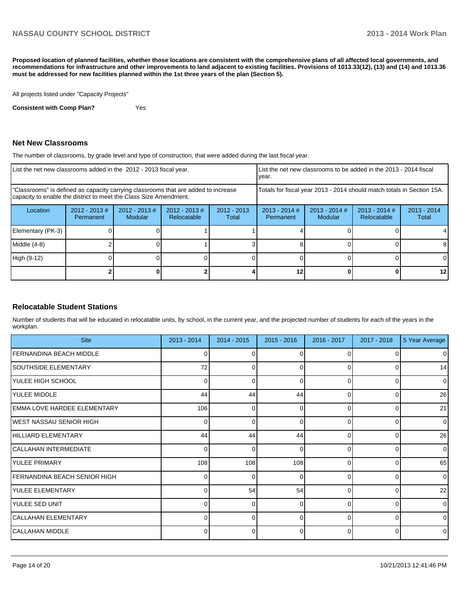**Proposed location of planned facilities, whether those locations are consistent with the comprehensive plans of all affected local governments, and recommendations for infrastructure and other improvements to land adjacent to existing facilities. Provisions of 1013.33(12), (13) and (14) and 1013.36 must be addressed for new facilities planned within the 1st three years of the plan (Section 5).**

All projects listed under "Capacity Projects"

**Consistent with Comp Plan?** Yes

### **Net New Classrooms**

The number of classrooms, by grade level and type of construction, that were added during the last fiscal year.

| List the net new classrooms added in the 2012 - 2013 fiscal year.                                                                                       |                              |                                   |                                |                        | year.                                                                  | List the net new classrooms to be added in the 2013 - 2014 fiscal |                                |                        |
|---------------------------------------------------------------------------------------------------------------------------------------------------------|------------------------------|-----------------------------------|--------------------------------|------------------------|------------------------------------------------------------------------|-------------------------------------------------------------------|--------------------------------|------------------------|
| "Classrooms" is defined as capacity carrying classrooms that are added to increase<br>capacity to enable the district to meet the Class Size Amendment. |                              |                                   |                                |                        | Totals for fiscal year 2013 - 2014 should match totals in Section 15A. |                                                                   |                                |                        |
| Location                                                                                                                                                | $2012 - 2013$ #<br>Permanent | $2012 - 2013$ #<br><b>Modular</b> | $2012 - 2013$ #<br>Relocatable | $2012 - 2013$<br>Total | $2013 - 2014$ #<br>Permanent                                           | $2013 - 2014$ #<br>Modular                                        | $2013 - 2014$ #<br>Relocatable | $2013 - 2014$<br>Total |
| Elementary (PK-3)                                                                                                                                       |                              |                                   |                                |                        |                                                                        |                                                                   |                                |                        |
| Middle (4-8)                                                                                                                                            |                              |                                   |                                |                        |                                                                        |                                                                   |                                | 8                      |
| High (9-12)                                                                                                                                             |                              |                                   |                                |                        |                                                                        |                                                                   |                                | 0                      |
|                                                                                                                                                         |                              |                                   |                                |                        |                                                                        |                                                                   |                                | 12                     |

### **Relocatable Student Stations**

Number of students that will be educated in relocatable units, by school, in the current year, and the projected number of students for each of the years in the workplan.

| <b>Site</b>                         | 2013 - 2014 | $2014 - 2015$ | $2015 - 2016$ | 2016 - 2017 | 2017 - 2018  | 5 Year Average |
|-------------------------------------|-------------|---------------|---------------|-------------|--------------|----------------|
| FERNANDINA BEACH MIDDLE             |             |               |               |             |              | $\overline{0}$ |
| SOUTHSIDE ELEMENTARY                | 72          | 0             | 0             | $\Omega$    | 0            | 14             |
| YULEE HIGH SCHOOL                   | 0           | U             | $\Omega$      | $\Omega$    | <sup>0</sup> | $\overline{0}$ |
| YULEE MIDDLE                        | 44          | 44            | 44            | $\Omega$    | 0            | 26             |
| EMMA LOVE HARDEE ELEMENTARY         | 106         | 0             | $\Omega$      | $\Omega$    | $\Omega$     | 21             |
| <b>IWEST NASSAU SENIOR HIGH</b>     | 0           | 0             | 0             | $\Omega$    | 0            | $\overline{0}$ |
| HILLIARD ELEMENTARY                 | 44          | 44            | 44            | $\Omega$    | <sup>0</sup> | 26             |
| ICALLAHAN INTERMEDIATE              | $\Omega$    | 0             | 0             | $\Omega$    | $\Omega$     | $\overline{0}$ |
| <b>YULEE PRIMARY</b>                | 108         | 108           | 108           | U           | $\Omega$     | 65             |
| <b>FERNANDINA BEACH SENIOR HIGH</b> | $\Omega$    | 0             | $\Omega$      | $\Omega$    | $\Omega$     | $\overline{0}$ |
| <b>YULEE ELEMENTARY</b>             | U           | 54            | 54            | $\Omega$    | $\Omega$     | 22             |
| YULEE SED UNIT                      | $\Omega$    | 0             | 0             | $\Omega$    | $\Omega$     | $\overline{0}$ |
| <b>CALLAHAN ELEMENTARY</b>          |             |               | ∩             | O           | $\Omega$     | $\overline{0}$ |
| CALLAHAN MIDDLE                     | 0           | 0             | 0             | $\Omega$    | $\Omega$     | $\overline{0}$ |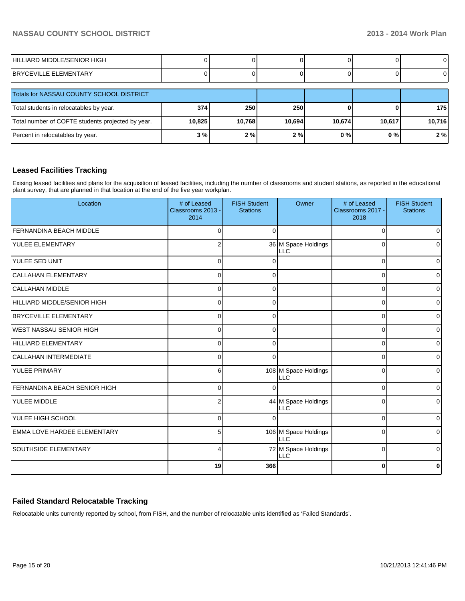| HILLIARD MIDDLE/SENIOR HIGH                  |  |  |  |
|----------------------------------------------|--|--|--|
| <b>EMENTARY</b><br>RR<br>드 디<br>=\/II<br>. . |  |  |  |

| Totals for NASSAU COUNTY SCHOOL DISTRICT          |        |        |        |        |        |        |
|---------------------------------------------------|--------|--------|--------|--------|--------|--------|
| Total students in relocatables by year.           | 374    | 250    | 250    |        |        | 175    |
| Total number of COFTE students projected by year. | 10,825 | 10.768 | 10.694 | 10,674 | 10.617 | 10,716 |
| Percent in relocatables by year.                  | 3%     | 2%     | 2%     | 0%     | 0 % I  | 2%     |

## **Leased Facilities Tracking**

Exising leased facilities and plans for the acquisition of leased facilities, including the number of classrooms and student stations, as reported in the educational plant survey, that are planned in that location at the end of the five year workplan.

| Location                           | # of Leased<br>Classrooms 2013 -<br>2014 | <b>FISH Student</b><br><b>Stations</b> | Owner                              | # of Leased<br>Classrooms 2017 -<br>2018 | <b>FISH Student</b><br><b>Stations</b> |
|------------------------------------|------------------------------------------|----------------------------------------|------------------------------------|------------------------------------------|----------------------------------------|
| <b>FERNANDINA BEACH MIDDLE</b>     | $\Omega$                                 | $\Omega$                               |                                    | $\Omega$                                 | $\Omega$                               |
| YULEE ELEMENTARY                   | 2                                        |                                        | 36 M Space Holdings<br>LLC         | $\Omega$                                 | $\Omega$                               |
| YULEE SED UNIT                     | $\Omega$                                 |                                        |                                    | $\Omega$                                 | $\overline{0}$                         |
| CALLAHAN ELEMENTARY                | $\Omega$                                 | $\Omega$                               |                                    | $\Omega$                                 | $\overline{0}$                         |
| <b>CALLAHAN MIDDLE</b>             | $\Omega$                                 | $\Omega$                               |                                    | $\Omega$                                 | $\overline{0}$                         |
| HILLIARD MIDDLE/SENIOR HIGH        | $\Omega$                                 | $\Omega$                               |                                    | $\Omega$                                 | $\overline{0}$                         |
| BRYCEVILLE ELEMENTARY              | $\Omega$                                 | $\Omega$                               |                                    | $\Omega$                                 | $\overline{0}$                         |
| <b>WEST NASSAU SENIOR HIGH</b>     | $\Omega$                                 | $\Omega$                               |                                    | 0                                        | $\overline{0}$                         |
| HILLIARD ELEMENTARY                | 0                                        | ∩                                      |                                    | $\Omega$                                 | $\overline{0}$                         |
| <b>CALLAHAN INTERMEDIATE</b>       | $\Omega$                                 | $\Omega$                               |                                    | $\Omega$                                 | $\overline{0}$                         |
| YULEE PRIMARY                      | 6                                        |                                        | 108 M Space Holdings<br><b>LLC</b> | 0                                        | $\Omega$                               |
| FERNANDINA BEACH SENIOR HIGH       | $\Omega$                                 |                                        |                                    | $\Omega$                                 | $\overline{0}$                         |
| <b>YULEE MIDDLE</b>                | $\overline{2}$                           |                                        | 44 M Space Holdings<br><b>LLC</b>  | $\Omega$                                 | $\Omega$                               |
| <b>YULEE HIGH SCHOOL</b>           | $\Omega$                                 | ∩                                      |                                    | $\Omega$                                 | $\overline{0}$                         |
| <b>EMMA LOVE HARDEE ELEMENTARY</b> | 5                                        |                                        | 106 M Space Holdings<br><b>LLC</b> | $\Omega$                                 | $\overline{0}$                         |
| <b>SOUTHSIDE ELEMENTARY</b>        | 4                                        |                                        | 72 M Space Holdings<br><b>LLC</b>  | $\mathbf 0$                              | $\overline{0}$                         |
|                                    | 19                                       | 366                                    |                                    | 0                                        | 0                                      |

## **Failed Standard Relocatable Tracking**

Relocatable units currently reported by school, from FISH, and the number of relocatable units identified as 'Failed Standards'.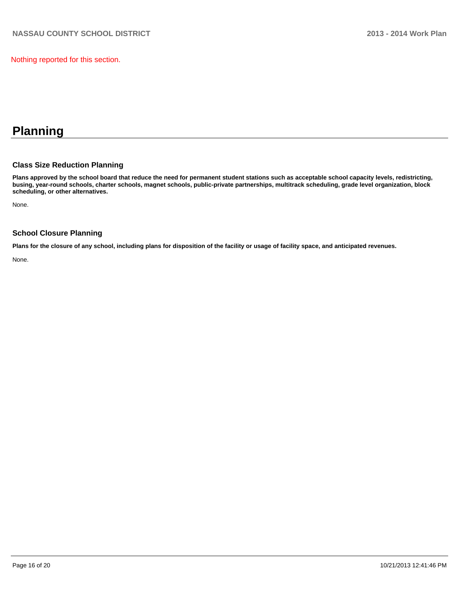Nothing reported for this section.

# **Planning**

### **Class Size Reduction Planning**

**Plans approved by the school board that reduce the need for permanent student stations such as acceptable school capacity levels, redistricting, busing, year-round schools, charter schools, magnet schools, public-private partnerships, multitrack scheduling, grade level organization, block scheduling, or other alternatives.**

None.

### **School Closure Planning**

**Plans for the closure of any school, including plans for disposition of the facility or usage of facility space, and anticipated revenues.**

None.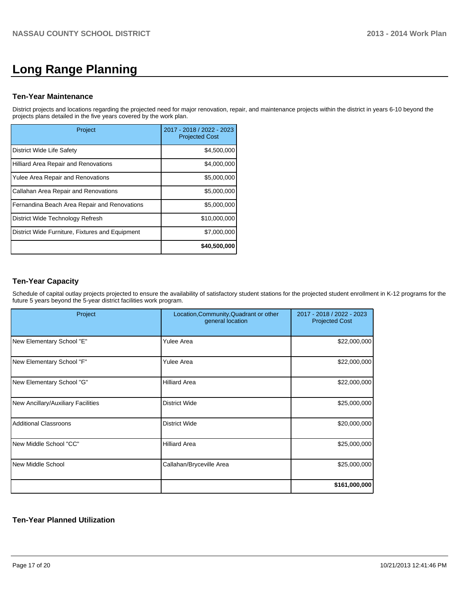# **Long Range Planning**

### **Ten-Year Maintenance**

District projects and locations regarding the projected need for major renovation, repair, and maintenance projects within the district in years 6-10 beyond the projects plans detailed in the five years covered by the work plan.

| Project                                         | 2017 - 2018 / 2022 - 2023<br><b>Projected Cost</b> |
|-------------------------------------------------|----------------------------------------------------|
| District Wide Life Safety                       | \$4,500,000                                        |
| Hilliard Area Repair and Renovations            | \$4,000,000                                        |
| Yulee Area Repair and Renovations               | \$5,000,000                                        |
| Callahan Area Repair and Renovations            | \$5,000,000                                        |
| Fernandina Beach Area Repair and Renovations    | \$5,000,000                                        |
| District Wide Technology Refresh                | \$10,000,000                                       |
| District Wide Furniture, Fixtures and Equipment | \$7,000,000                                        |
|                                                 | \$40,500,000                                       |

# **Ten-Year Capacity**

Schedule of capital outlay projects projected to ensure the availability of satisfactory student stations for the projected student enrollment in K-12 programs for the future 5 years beyond the 5-year district facilities work program.

| Project                            | Location, Community, Quadrant or other<br>general location | 2017 - 2018 / 2022 - 2023<br><b>Projected Cost</b> |
|------------------------------------|------------------------------------------------------------|----------------------------------------------------|
| New Elementary School "E"          | <b>Yulee Area</b>                                          | \$22,000,000                                       |
| New Elementary School "F"          | Yulee Area                                                 | \$22,000,000                                       |
| New Elementary School "G"          | <b>Hilliard Area</b>                                       | \$22,000,000                                       |
| New Ancillary/Auxiliary Facilities | <b>District Wide</b>                                       | \$25,000,000                                       |
| <b>Additional Classroons</b>       | <b>District Wide</b>                                       | \$20,000,000                                       |
| New Middle School "CC"             | <b>Hilliard Area</b>                                       | \$25,000,000                                       |
| New Middle School                  | Callahan/Bryceville Area                                   | \$25,000,000                                       |
|                                    |                                                            | \$161,000,000                                      |

## **Ten-Year Planned Utilization**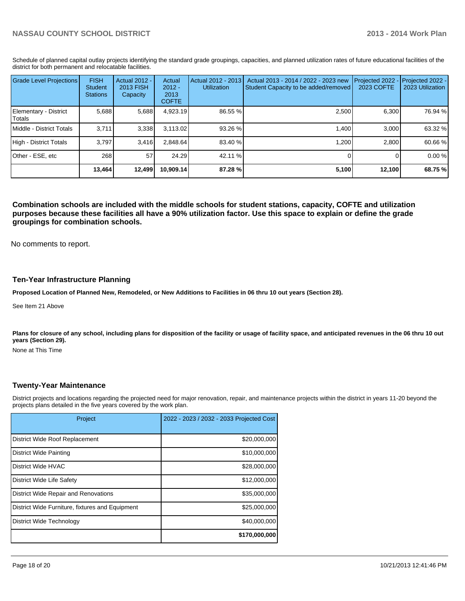Schedule of planned capital outlay projects identifying the standard grade groupings, capacities, and planned utilization rates of future educational facilities of the district for both permanent and relocatable facilities.

| <b>Grade Level Projections</b>    | <b>FISH</b><br><b>Student</b><br><b>Stations</b> | <b>Actual 2012 -</b><br><b>2013 FISH</b><br>Capacity | Actual<br>$2012 -$<br>2013<br><b>COFTE</b> | Actual 2012 - 2013<br><b>Utilization</b> | Actual 2013 - 2014 / 2022 - 2023 new<br>Student Capacity to be added/removed | Projected 2022<br><b>2023 COFTE</b> | Projected 2022 -<br>2023 Utilization |
|-----------------------------------|--------------------------------------------------|------------------------------------------------------|--------------------------------------------|------------------------------------------|------------------------------------------------------------------------------|-------------------------------------|--------------------------------------|
| Elementary - District<br>l Totals | 5,688                                            | 5,688                                                | 4,923.19                                   | 86.55 %                                  | 2,500                                                                        | 6,300                               | 76.94 %                              |
| <b>IMiddle - District Totals</b>  | 3.711                                            | 3,338                                                | 3.113.02                                   | $93.26 \%$                               | 1.400                                                                        | 3.000                               | 63.32 %                              |
| High - District Totals            | 3.797                                            | 3.416                                                | 2.848.64                                   | 83.40 %                                  | 1.200                                                                        | 2.800                               | 60.66 %                              |
| Other - ESE, etc                  | 268                                              | 57                                                   | 24.29                                      | 42.11 %                                  |                                                                              |                                     | 0.00%                                |
|                                   | 13,464                                           | 12,499                                               | 10.909.14                                  | 87.28 %                                  | 5,100                                                                        | 12,100                              | 68.75 %                              |

**Combination schools are included with the middle schools for student stations, capacity, COFTE and utilization purposes because these facilities all have a 90% utilization factor. Use this space to explain or define the grade groupings for combination schools.**

No comments to report.

### **Ten-Year Infrastructure Planning**

**Proposed Location of Planned New, Remodeled, or New Additions to Facilities in 06 thru 10 out years (Section 28).**

See Item 21 Above

Plans for closure of any school, including plans for disposition of the facility or usage of facility space, and anticipated revenues in the 06 thru 10 out **years (Section 29).**

None at This Time

### **Twenty-Year Maintenance**

District projects and locations regarding the projected need for major renovation, repair, and maintenance projects within the district in years 11-20 beyond the projects plans detailed in the five years covered by the work plan.

| Project                                         | 2022 - 2023 / 2032 - 2033 Projected Cost |
|-------------------------------------------------|------------------------------------------|
| District Wide Roof Replacement                  | \$20,000,000                             |
| <b>District Wide Painting</b>                   | \$10,000,000                             |
| District Wide HVAC                              | \$28,000,000                             |
| District Wide Life Safety                       | \$12,000,000                             |
| District Wide Repair and Renovations            | \$35,000,000                             |
| District Wide Furniture, fixtures and Equipment | \$25,000,000                             |
| District Wide Technology                        | \$40,000,000                             |
|                                                 | \$170,000,000                            |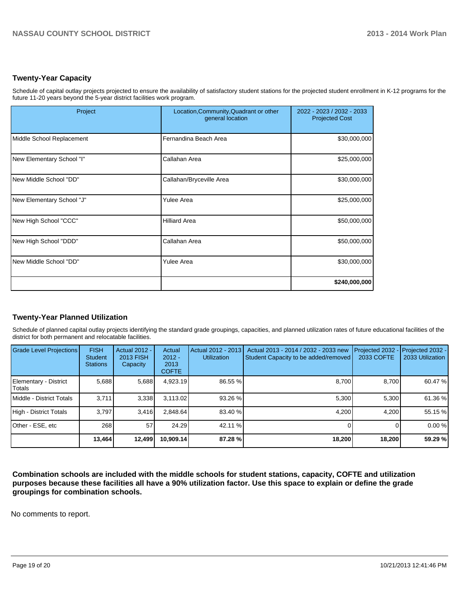## **Twenty-Year Capacity**

Schedule of capital outlay projects projected to ensure the availability of satisfactory student stations for the projected student enrollment in K-12 programs for the future 11-20 years beyond the 5-year district facilities work program.

| Project                   | Location, Community, Quadrant or other<br>general location | 2022 - 2023 / 2032 - 2033<br><b>Projected Cost</b> |  |
|---------------------------|------------------------------------------------------------|----------------------------------------------------|--|
| Middle School Replacement | Fernandina Beach Area                                      | \$30,000,000                                       |  |
| New Elementary School "I" | Callahan Area                                              | \$25,000,000                                       |  |
| New Middle School "DD"    | Callahan/Bryceville Area                                   | \$30,000,000                                       |  |
| New Elementary School "J" | <b>Yulee Area</b>                                          | \$25,000,000                                       |  |
| New High School "CCC"     | <b>Hilliard Area</b>                                       | \$50,000,000                                       |  |
| New High School "DDD"     | Callahan Area                                              | \$50,000,000                                       |  |
| New Middle School "DD"    | Yulee Area                                                 | \$30,000,000                                       |  |
|                           |                                                            | \$240,000,000                                      |  |

## **Twenty-Year Planned Utilization**

Schedule of planned capital outlay projects identifying the standard grade groupings, capacities, and planned utilization rates of future educational facilities of the district for both permanent and relocatable facilities.

| <b>Grade Level Projections</b>  | <b>FISH</b><br><b>Student</b><br><b>Stations</b> | <b>Actual 2012 -</b><br>2013 FISH<br>Capacity | Actual<br>$2012 -$<br>2013<br><b>COFTE</b> | Actual 2012 - 2013<br><b>Utilization</b> | Actual 2013 - 2014 / 2032 - 2033 new<br>Student Capacity to be added/removed | Projected 2032<br>2033 COFTE | Projected 2032 -<br>2033 Utilization |
|---------------------------------|--------------------------------------------------|-----------------------------------------------|--------------------------------------------|------------------------------------------|------------------------------------------------------------------------------|------------------------------|--------------------------------------|
| Elementary - District<br>Totals | 5,688                                            | 5,688                                         | 4,923.19                                   | 86.55 %                                  | 8,700                                                                        | 8.700                        | 60.47 %                              |
| Middle - District Totals        | 3.711                                            | 3,338                                         | 3.113.02                                   | $93.26 \%$                               | 5.300                                                                        | 5.300                        | 61.36 %                              |
| High - District Totals          | 3.797                                            | 3.416                                         | 2.848.64                                   | 83.40 %                                  | 4,200                                                                        | 4.200                        | 55.15 %                              |
| Other - ESE, etc                | 268                                              | 57                                            | 24.29                                      | 42.11 %                                  |                                                                              |                              | 0.00%                                |
|                                 | 13,464                                           | 12,499                                        | 10,909.14                                  | 87.28 %                                  | 18,200                                                                       | 18,200                       | 59.29 %                              |

**Combination schools are included with the middle schools for student stations, capacity, COFTE and utilization purposes because these facilities all have a 90% utilization factor. Use this space to explain or define the grade groupings for combination schools.**

No comments to report.